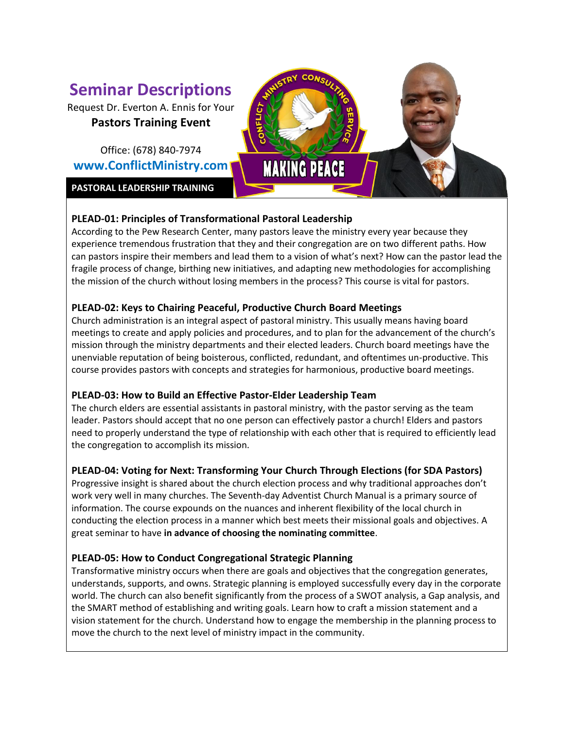# **Seminar Descriptions**

Request Dr. Everton A. Ennis for Your **Pastors Training Event**

Office: (678) 840-7974 **www.ConflictMinistry.com**

**PASTORAL LEADERSHIP TRAINING**

# **MAKING PEACE**

# **PLEAD-01: Principles of Transformational Pastoral Leadership**

According to the Pew Research Center, many pastors leave the ministry every year because they experience tremendous frustration that they and their congregation are on two different paths. How can pastors inspire their members and lead them to a vision of what's next? How can the pastor lead the fragile process of change, birthing new initiatives, and adapting new methodologies for accomplishing the mission of the church without losing members in the process? This course is vital for pastors.

# **PLEAD-02: Keys to Chairing Peaceful, Productive Church Board Meetings**

Church administration is an integral aspect of pastoral ministry. This usually means having board meetings to create and apply policies and procedures, and to plan for the advancement of the church's mission through the ministry departments and their elected leaders. Church board meetings have the unenviable reputation of being boisterous, conflicted, redundant, and oftentimes un-productive. This course provides pastors with concepts and strategies for harmonious, productive board meetings.

# **PLEAD-03: How to Build an Effective Pastor-Elder Leadership Team**

The church elders are essential assistants in pastoral ministry, with the pastor serving as the team leader. Pastors should accept that no one person can effectively pastor a church! Elders and pastors need to properly understand the type of relationship with each other that is required to efficiently lead the congregation to accomplish its mission.

# **PLEAD-04: Voting for Next: Transforming Your Church Through Elections (for SDA Pastors)**

Progressive insight is shared about the church election process and why traditional approaches don't work very well in many churches. The Seventh-day Adventist Church Manual is a primary source of information. The course expounds on the nuances and inherent flexibility of the local church in conducting the election process in a manner which best meets their missional goals and objectives. A great seminar to have **in advance of choosing the nominating committee**.

# **PLEAD-05: How to Conduct Congregational Strategic Planning**

Transformative ministry occurs when there are goals and objectives that the congregation generates, understands, supports, and owns. Strategic planning is employed successfully every day in the corporate world. The church can also benefit significantly from the process of a SWOT analysis, a Gap analysis, and the SMART method of establishing and writing goals. Learn how to craft a mission statement and a vision statement for the church. Understand how to engage the membership in the planning process to move the church to the next level of ministry impact in the community.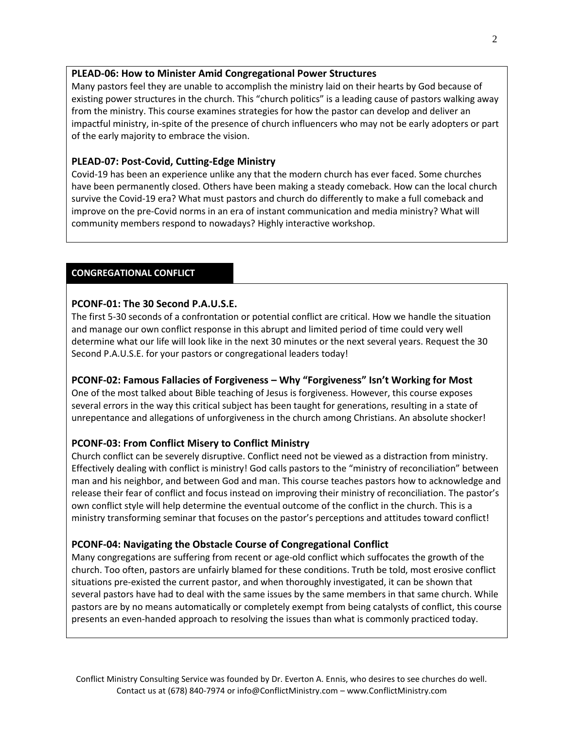#### **PLEAD-06: How to Minister Amid Congregational Power Structures**

Many pastors feel they are unable to accomplish the ministry laid on their hearts by God because of existing power structures in the church. This "church politics" is a leading cause of pastors walking away from the ministry. This course examines strategies for how the pastor can develop and deliver an impactful ministry, in-spite of the presence of church influencers who may not be early adopters or part of the early majority to embrace the vision.

## **PLEAD-07: Post-Covid, Cutting-Edge Ministry**

Covid-19 has been an experience unlike any that the modern church has ever faced. Some churches have been permanently closed. Others have been making a steady comeback. How can the local church survive the Covid-19 era? What must pastors and church do differently to make a full comeback and improve on the pre-Covid norms in an era of instant communication and media ministry? What will community members respond to nowadays? Highly interactive workshop.

### **CONGREGATIONAL CONFLICT**

#### **PCONF-01: The 30 Second P.A.U.S.E.**

The first 5-30 seconds of a confrontation or potential conflict are critical. How we handle the situation and manage our own conflict response in this abrupt and limited period of time could very well determine what our life will look like in the next 30 minutes or the next several years. Request the 30 Second P.A.U.S.E. for your pastors or congregational leaders today!

#### **PCONF-02: Famous Fallacies of Forgiveness – Why "Forgiveness" Isn't Working for Most**

One of the most talked about Bible teaching of Jesus is forgiveness. However, this course exposes several errors in the way this critical subject has been taught for generations, resulting in a state of unrepentance and allegations of unforgiveness in the church among Christians. An absolute shocker!

#### **PCONF-03: From Conflict Misery to Conflict Ministry**

Church conflict can be severely disruptive. Conflict need not be viewed as a distraction from ministry. Effectively dealing with conflict is ministry! God calls pastors to the "ministry of reconciliation" between man and his neighbor, and between God and man. This course teaches pastors how to acknowledge and release their fear of conflict and focus instead on improving their ministry of reconciliation. The pastor's own conflict style will help determine the eventual outcome of the conflict in the church. This is a ministry transforming seminar that focuses on the pastor's perceptions and attitudes toward conflict!

#### **PCONF-04: Navigating the Obstacle Course of Congregational Conflict**

Many congregations are suffering from recent or age-old conflict which suffocates the growth of the church. Too often, pastors are unfairly blamed for these conditions. Truth be told, most erosive conflict situations pre-existed the current pastor, and when thoroughly investigated, it can be shown that several pastors have had to deal with the same issues by the same members in that same church. While pastors are by no means automatically or completely exempt from being catalysts of conflict, this course presents an even-handed approach to resolving the issues than what is commonly practiced today.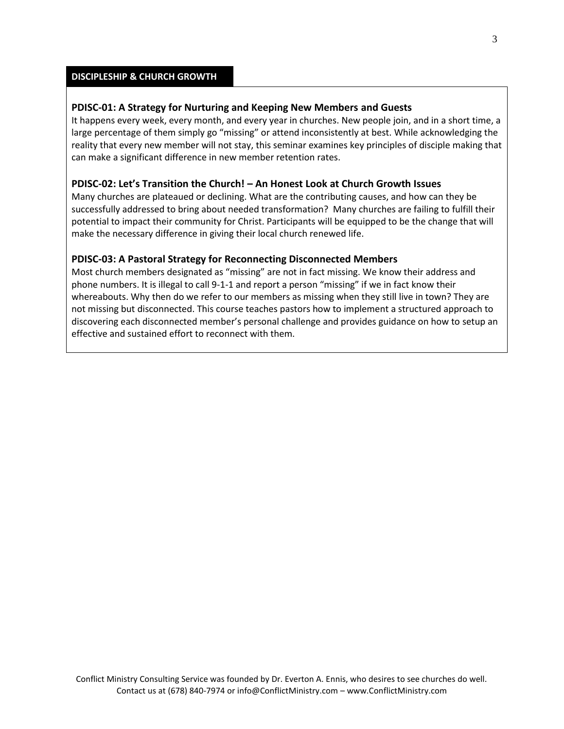#### **DISCIPLESHIP & CHURCH GROWTH**

#### **PDISC-01: A Strategy for Nurturing and Keeping New Members and Guests**

It happens every week, every month, and every year in churches. New people join, and in a short time, a large percentage of them simply go "missing" or attend inconsistently at best. While acknowledging the reality that every new member will not stay, this seminar examines key principles of disciple making that can make a significant difference in new member retention rates.

#### **PDISC-02: Let's Transition the Church! – An Honest Look at Church Growth Issues**

Many churches are plateaued or declining. What are the contributing causes, and how can they be successfully addressed to bring about needed transformation? Many churches are failing to fulfill their potential to impact their community for Christ. Participants will be equipped to be the change that will make the necessary difference in giving their local church renewed life.

#### **PDISC-03: A Pastoral Strategy for Reconnecting Disconnected Members**

Most church members designated as "missing" are not in fact missing. We know their address and phone numbers. It is illegal to call 9-1-1 and report a person "missing" if we in fact know their whereabouts. Why then do we refer to our members as missing when they still live in town? They are not missing but disconnected. This course teaches pastors how to implement a structured approach to discovering each disconnected member's personal challenge and provides guidance on how to setup an effective and sustained effort to reconnect with them.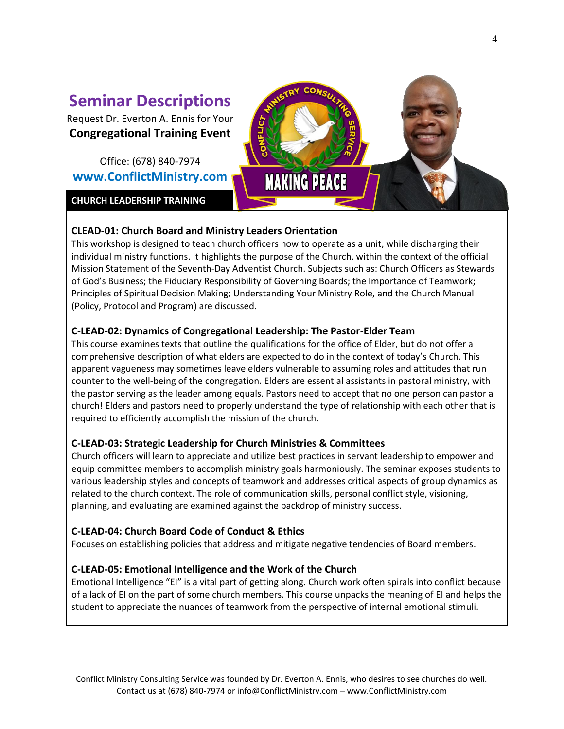# **Seminar Descriptions**

Request Dr. Everton A. Ennis for Your **Congregational Training Event**

Office: (678) 840-7974 **www.ConflictMinistry.com**

**CHURCH LEADERSHIP TRAINING**



# **CLEAD-01: Church Board and Ministry Leaders Orientation**

This workshop is designed to teach church officers how to operate as a unit, while discharging their individual ministry functions. It highlights the purpose of the Church, within the context of the official Mission Statement of the Seventh-Day Adventist Church. Subjects such as: Church Officers as Stewards of God's Business; the Fiduciary Responsibility of Governing Boards; the Importance of Teamwork; Principles of Spiritual Decision Making; Understanding Your Ministry Role, and the Church Manual (Policy, Protocol and Program) are discussed.

# **C-LEAD-02: Dynamics of Congregational Leadership: The Pastor-Elder Team**

This course examines texts that outline the qualifications for the office of Elder, but do not offer a comprehensive description of what elders are expected to do in the context of today's Church. This apparent vagueness may sometimes leave elders vulnerable to assuming roles and attitudes that run counter to the well-being of the congregation. Elders are essential assistants in pastoral ministry, with the pastor serving as the leader among equals. Pastors need to accept that no one person can pastor a church! Elders and pastors need to properly understand the type of relationship with each other that is required to efficiently accomplish the mission of the church.

# **C-LEAD-03: Strategic Leadership for Church Ministries & Committees**

Church officers will learn to appreciate and utilize best practices in servant leadership to empower and equip committee members to accomplish ministry goals harmoniously. The seminar exposes students to various leadership styles and concepts of teamwork and addresses critical aspects of group dynamics as related to the church context. The role of communication skills, personal conflict style, visioning, planning, and evaluating are examined against the backdrop of ministry success.

# **C-LEAD-04: Church Board Code of Conduct & Ethics**

Focuses on establishing policies that address and mitigate negative tendencies of Board members.

# **C-LEAD-05: Emotional Intelligence and the Work of the Church**

Emotional Intelligence "EI" is a vital part of getting along. Church work often spirals into conflict because of a lack of EI on the part of some church members. This course unpacks the meaning of EI and helps the student to appreciate the nuances of teamwork from the perspective of internal emotional stimuli.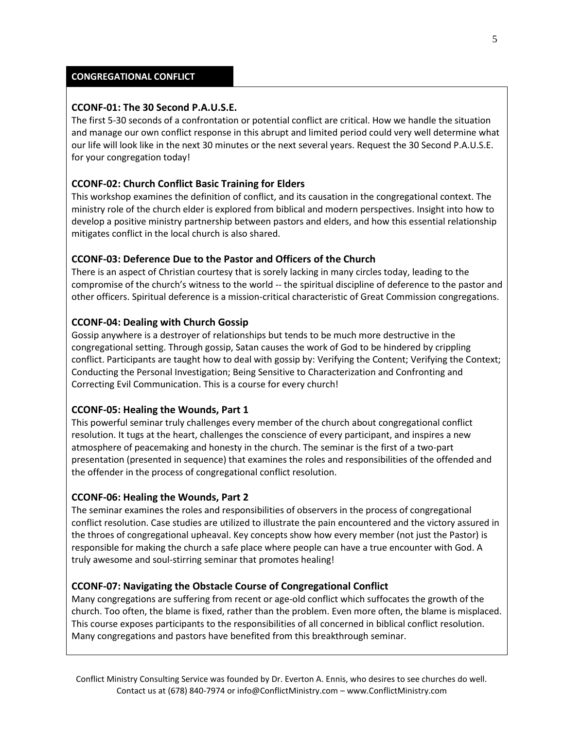#### **CONGREGATIONAL CONFLICT**

#### **CCONF-01: The 30 Second P.A.U.S.E.**

The first 5-30 seconds of a confrontation or potential conflict are critical. How we handle the situation and manage our own conflict response in this abrupt and limited period could very well determine what our life will look like in the next 30 minutes or the next several years. Request the 30 Second P.A.U.S.E. for your congregation today!

#### **CCONF-02: Church Conflict Basic Training for Elders**

This workshop examines the definition of conflict, and its causation in the congregational context. The ministry role of the church elder is explored from biblical and modern perspectives. Insight into how to develop a positive ministry partnership between pastors and elders, and how this essential relationship mitigates conflict in the local church is also shared.

#### **CCONF-03: Deference Due to the Pastor and Officers of the Church**

There is an aspect of Christian courtesy that is sorely lacking in many circles today, leading to the compromise of the church's witness to the world -- the spiritual discipline of deference to the pastor and other officers. Spiritual deference is a mission-critical characteristic of Great Commission congregations.

#### **CCONF-04: Dealing with Church Gossip**

Gossip anywhere is a destroyer of relationships but tends to be much more destructive in the congregational setting. Through gossip, Satan causes the work of God to be hindered by crippling conflict. Participants are taught how to deal with gossip by: Verifying the Content; Verifying the Context; Conducting the Personal Investigation; Being Sensitive to Characterization and Confronting and Correcting Evil Communication. This is a course for every church!

#### **CCONF-05: Healing the Wounds, Part 1**

This powerful seminar truly challenges every member of the church about congregational conflict resolution. It tugs at the heart, challenges the conscience of every participant, and inspires a new atmosphere of peacemaking and honesty in the church. The seminar is the first of a two-part presentation (presented in sequence) that examines the roles and responsibilities of the offended and the offender in the process of congregational conflict resolution.

#### **CCONF-06: Healing the Wounds, Part 2**

The seminar examines the roles and responsibilities of observers in the process of congregational conflict resolution. Case studies are utilized to illustrate the pain encountered and the victory assured in the throes of congregational upheaval. Key concepts show how every member (not just the Pastor) is responsible for making the church a safe place where people can have a true encounter with God. A truly awesome and soul-stirring seminar that promotes healing!

#### **CCONF-07: Navigating the Obstacle Course of Congregational Conflict**

Many congregations are suffering from recent or age-old conflict which suffocates the growth of the church. Too often, the blame is fixed, rather than the problem. Even more often, the blame is misplaced. This course exposes participants to the responsibilities of all concerned in biblical conflict resolution. Many congregations and pastors have benefited from this breakthrough seminar.